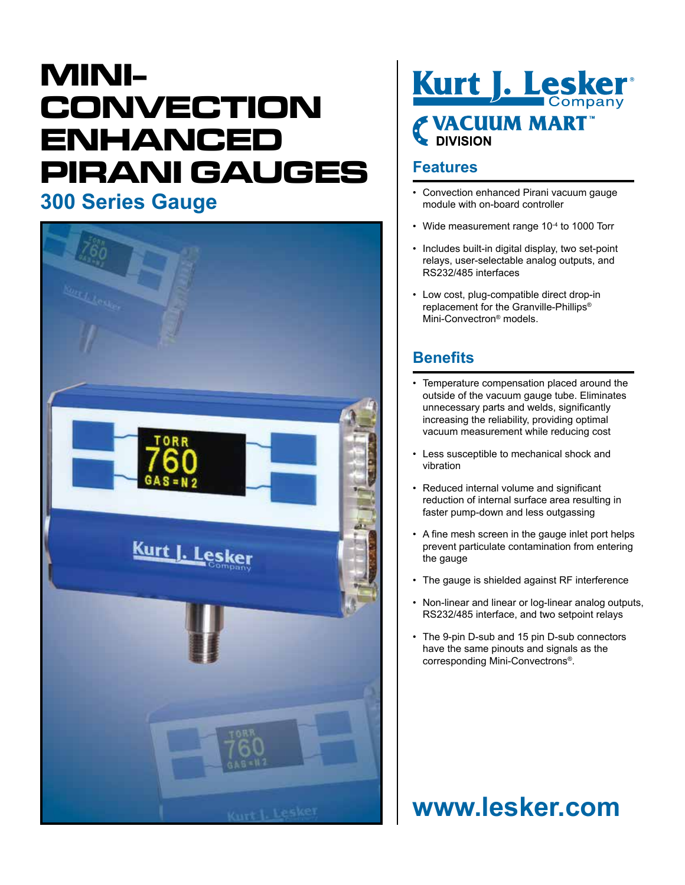# **MINI-CONVECTION ENHANCED PIRANI GAUGES**





#### **Features**

- **300 Series Gauge** Convection enhanced Pirani vacuum gauge<br>
and a board controller module with on-board controller
	- Wide measurement range 10<sup>-4</sup> to 1000 Torr
	- Includes built-in digital display, two set-point relays, user-selectable analog outputs, and RS232/485 interfaces
	- Low cost, plug-compatible direct drop-in replacement for the Granville-Phillips® Mini-Convectron® models.

### **Benefits**

- Temperature compensation placed around the outside of the vacuum gauge tube. Eliminates unnecessary parts and welds, significantly increasing the reliability, providing optimal vacuum measurement while reducing cost
- Less susceptible to mechanical shock and vibration
- Reduced internal volume and significant reduction of internal surface area resulting in faster pump-down and less outgassing
- A fine mesh screen in the gauge inlet port helps prevent particulate contamination from entering the gauge
- The gauge is shielded against RF interference
- Non-linear and linear or log-linear analog outputs, RS232/485 interface, and two setpoint relays
- The 9-pin D-sub and 15 pin D-sub connectors have the same pinouts and signals as the corresponding Mini-Convectrons®.

## **www.lesker.com**